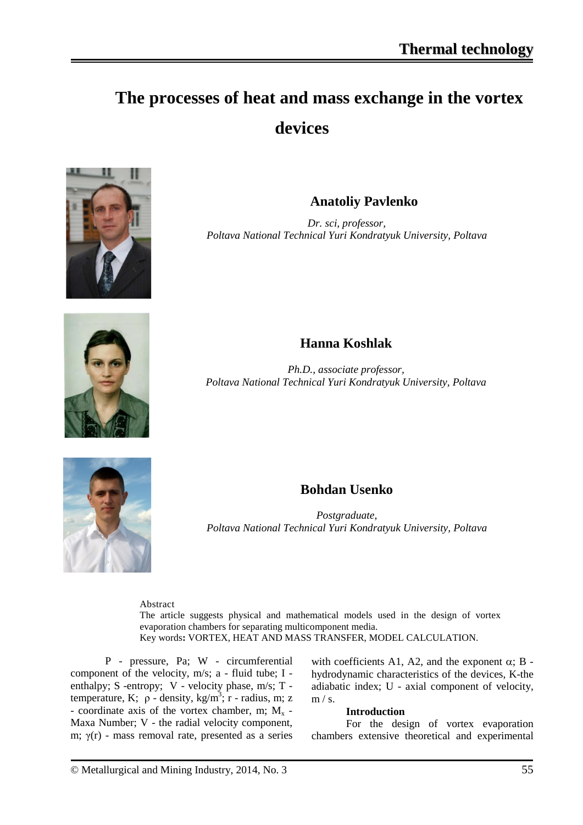# **The processes of heat and mass exchange in the vortex devices**



## **Anatoliy Pavlenko**

*Dr. sci, professor, Poltava National Technical Yuri Kondratyuk University, Poltava*



## **Hanna Koshlak**

*Ph.D., associate professor, Poltava National Technical Yuri Kondratyuk University, Poltava*



## **Bohdan Usenko**

*Postgraduate, Poltava National Technical Yuri Kondratyuk University, Poltava*

Abstract

The article suggests physical and mathematical models used in the design of vortex evaporation chambers for separating multicomponent media. Key words**:** VORTEX, HEAT AND MASS TRANSFER, MODEL CALCULATION.

P - pressure, Pa; W - circumferential component of the velocity, m/s; a - fluid tube; I enthalpy; S -entropy; V - velocity phase, m/s; T temperature, K;  $ρ$  - density, kg/m<sup>3</sup>; r - radius, m; z - coordinate axis of the vortex chamber, m;  $M_x$  -Maxa Number; V - the radial velocity component, m;  $\gamma(r)$  - mass removal rate, presented as a series

with coefficients A1, A2, and the exponent  $\alpha$ ; B hydrodynamic characteristics of the devices, K-the adiabatic index; U - axial component of velocity,  $m / s$ .

#### **Introduction**

For the design of vortex evaporation chambers extensive theoretical and experimental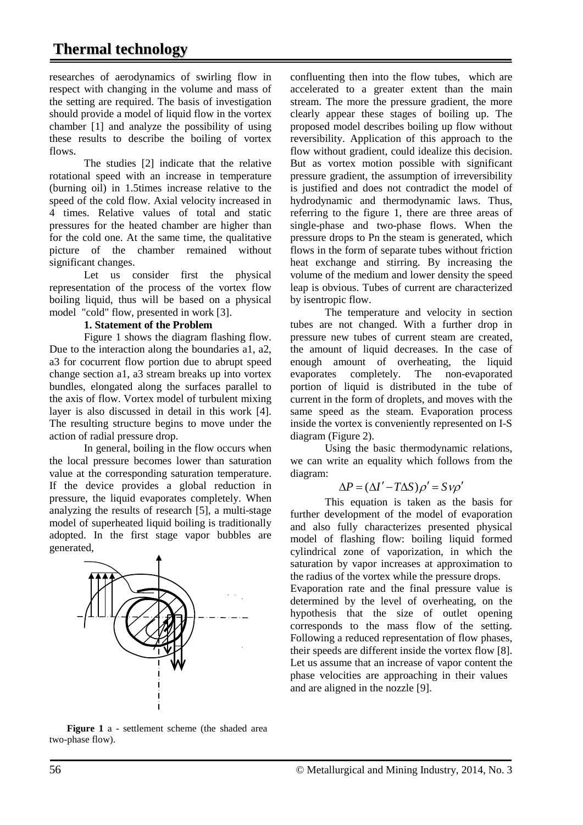researches of aerodynamics of swirling flow in respect with changing in the volume and mass of the setting are required. The basis of investigation should provide a model of liquid flow in the vortex chamber [1] and analyze the possibility of using these results to describe the boiling of vortex flows.

The studies [2] indicate that the relative rotational speed with an increase in temperature (burning oil) in 1.5times increase relative to the speed of the cold flow. Axial velocity increased in 4 times. Relative values of total and static pressures for the heated chamber are higher than for the cold one. At the same time, the qualitative picture of the chamber remained without significant changes.

Let us consider first the physical representation of the process of the vortex flow boiling liquid, thus will be based on a physical model "cold" flow, presented in work [3].

#### **1. Statement of the Problem**

Figure 1 shows the diagram flashing flow. Due to the interaction along the boundaries a1, a2, a3 for cocurrent flow portion due to abrupt speed change section a1, a3 stream breaks up into vortex bundles, elongated along the surfaces parallel to the axis of flow. Vortex model of turbulent mixing layer is also discussed in detail in this work [4]. The resulting structure begins to move under the action of radial pressure drop.

In general, boiling in the flow occurs when the local pressure becomes lower than saturation value at the corresponding saturation temperature. If the device provides a global reduction in pressure, the liquid evaporates completely. When analyzing the results of research [5], a multi-stage model of superheated liquid boiling is traditionally adopted. In the first stage vapor bubbles are generated,



confluenting then into the flow tubes, which are accelerated to a greater extent than the main stream. The more the pressure gradient, the more clearly appear these stages of boiling up. The proposed model describes boiling up flow without reversibility. Application of this approach to the flow without gradient, could idealize this decision. But as vortex motion possible with significant pressure gradient, the assumption of irreversibility is justified and does not contradict the model of hydrodynamic and thermodynamic laws. Thus, referring to the figure 1, there are three areas of single-phase and two-phase flows. When the pressure drops to Pn the steam is generated, which flows in the form of separate tubes without friction heat exchange and stirring. By increasing the volume of the medium and lower density the speed leap is obvious. Tubes of current are characterized

by isentropic flow. The temperature and velocity in section tubes are not changed. With a further drop in pressure new tubes of current steam are created, the amount of liquid decreases. In the case of enough amount of overheating, the liquid evaporates completely. The non-evaporated portion of liquid is distributed in the tube of current in the form of droplets, and moves with the same speed as the steam. Evaporation process inside the vortex is conveniently represented on I-S diagram (Figure 2).

Using the basic thermodynamic relations, we can write an equality which follows from the diagram:

$$
\Delta P = (\Delta I' - T\Delta S)\rho' = S\nu\rho'
$$

This equation is taken as the basis for further development of the model of evaporation and also fully characterizes presented physical model of flashing flow: boiling liquid formed cylindrical zone of vaporization, in which the saturation by vapor increases at approximation to the radius of the vortex while the pressure drops. Evaporation rate and the final pressure value is determined by the level of overheating, on the hypothesis that the size of outlet opening

corresponds to the mass flow of the setting. Following a reduced representation of flow phases, their speeds are different inside the vortex flow [8]. Let us assume that an increase of vapor content the phase velocities are approaching in their values and are aligned in the nozzle [9].

Figure 1 a - settlement scheme (the shaded area two-phase flow).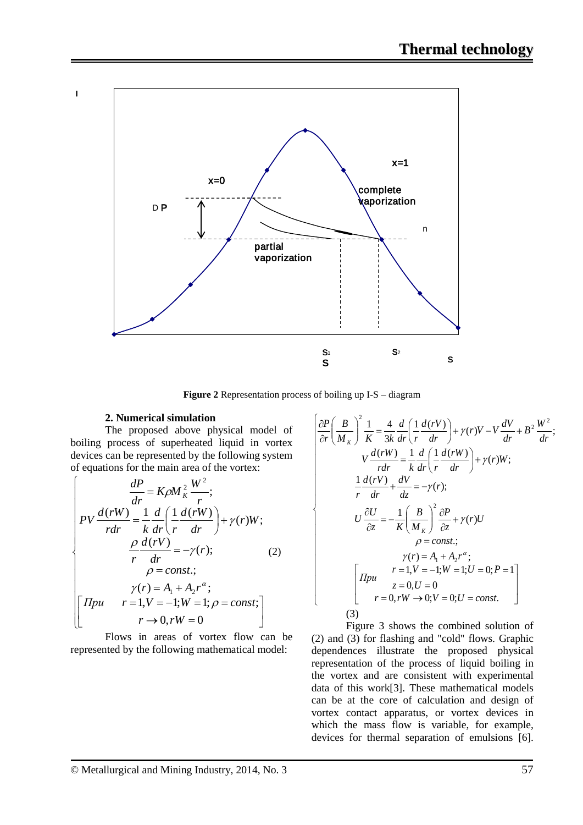

**Figure 2** Representation process of boiling up I-S – diagram

#### **2. Numerical simulation**

I

The proposed above physical model of boiling process of superheated liquid in vortex devices can be represented by the following system of equations for the main area of the vortex:

$$
\begin{cases}\n\frac{dP}{dr} = K\rho M \frac{2}{\kappa} \frac{W^2}{r};\\ \nPV \frac{d(rW)}{r dr} = \frac{1}{k} \frac{d}{dr} \left( \frac{1}{r} \frac{d(rW)}{dr} \right) + \gamma(r)W;\\
\frac{\rho}{r} \frac{d(rV)}{dr} = -\gamma(r);\\
\rho = const.;\\
\gamma(r) = A_1 + A_2 r^{\alpha};\\
\gamma(r) = A_1 + A_2 r^{\alpha};\\
r = 1, V = -1; W = 1; \rho = const;\\
r \to 0, rW = 0\n\end{cases}
$$

Flows in areas of vortex flow can be represented by the following mathematical model:

$$
\begin{cases}\n\frac{\partial P}{\partial r} \left( \frac{B}{M_K} \right)^2 \frac{1}{K} = \frac{4}{3k} \frac{d}{dr} \left( \frac{1}{r} \frac{d(rV)}{dr} \right) + \gamma(r)V - V \frac{dV}{dr} + B^2 \frac{W^2}{dr}; \\
V \frac{d(rW)}{r dr} = \frac{1}{k} \frac{d}{dr} \left( \frac{1}{r} \frac{d(rW)}{dr} \right) + \gamma(r)W; \\
\frac{1}{r} \frac{d(rV)}{dr} + \frac{dV}{dz} = -\gamma(r); \\
U \frac{\partial U}{\partial z} = -\frac{1}{K} \left( \frac{B}{M_K} \right)^2 \frac{\partial P}{\partial z} + \gamma(r)U \\
\rho = const.; \\
\gamma(r) = A_1 + A_2 r^{\alpha}; \\
\gamma(r) = A_1 + A_2 r^{\alpha}; \\
\gamma(r) = 1; V = -1; W = 1; U = 0; P = 1 \\
z = 0, U = 0 \\
r = 0, rW \rightarrow 0; V = 0; U = const.\n\end{cases}
$$
\n(3)

Figure 3 shows the combined solution of (2) and (3) for flashing and "cold" flows. Graphic dependences illustrate the proposed physical representation of the process of liquid boiling in the vortex and are consistent with experimental data of this work[3]. These mathematical models can be at the core of calculation and design of vortex contact apparatus, or vortex devices in which the mass flow is variable, for example, devices for thermal separation of emulsions [6].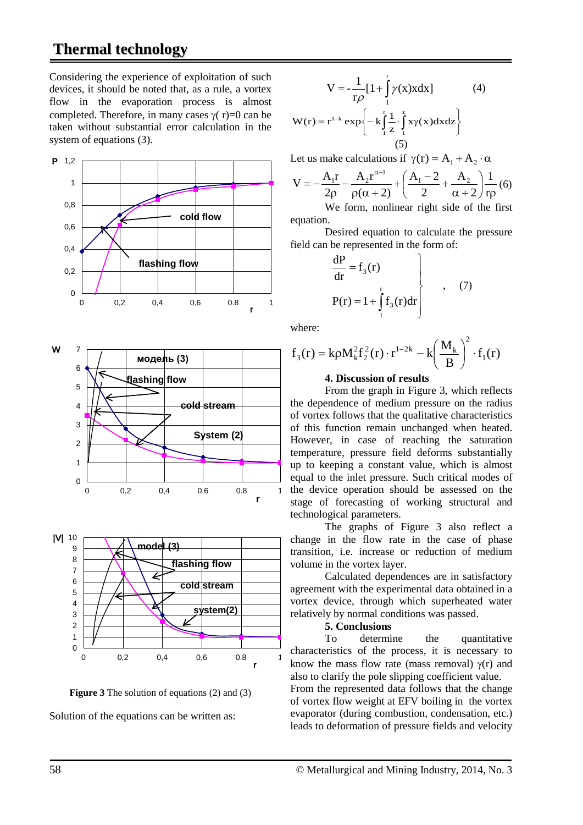## **Thermal technology**

Considering the experience of exploitation of such devices, it should be noted that, as a rule, a vortex flow in the evaporation process is almost completed. Therefore, in many cases  $\gamma(r)=0$  can be taken without substantial error calculation in the system of equations (3).







Solution of the equations can be written as:

$$
V = -\frac{1}{r\rho} \left[ 1 + \int_{1}^{r} \gamma(x) x dx \right]
$$
 (4)

$$
W(r) = r^{1-k} \exp\left\{-k \int_{1}^{r} \frac{1}{z} \cdot \int_{1}^{z} xy(x) dx dz\right\}
$$
(5)

Let us make calculations if  $\gamma(r) = A_1 + A_2 \cdot \alpha$ 

$$
V = -\frac{A_1 r}{2\rho} - \frac{A_2 r^{\alpha+1}}{\rho(\alpha+2)} + \left(\frac{A_1 - 2}{2} + \frac{A_2}{\alpha+2}\right) \frac{1}{r\rho}(6)
$$

We form, nonlinear right side of the first equation.

Desired equation to calculate the pressure field can be represented in the form of:

$$
\left\{\n \frac{dP}{dr} = f_3(r)\n \right.\n \left.\n P(r) = 1 + \int_{1}^{r} f_3(r) dr\n \right.\n \tag{7}
$$

where:

$$
f_3(r) = k\rho M_k^2 f_2^2(r) \cdot r^{1-2k} - k \left(\frac{M_k}{B}\right)^2 \cdot f_1(r)
$$

#### **4. Discussion of results**

From the graph in Figure 3, which reflects the dependence of medium pressure on the radius of vortex follows that the qualitative characteristics of this function remain unchanged when heated. However, in case of reaching the saturation temperature, pressure field deforms substantially up to keeping a constant value, which is almost equal to the inlet pressure. Such critical modes of the device operation should be assessed on the stage of forecasting of working structural and technological parameters.

The graphs of Figure 3 also reflect a change in the flow rate in the case of phase transition, i.e. increase or reduction of medium volume in the vortex layer.

Calculated dependences are in satisfactory agreement with the experimental data obtained in a vortex device, through which superheated water relatively by normal conditions was passed.

#### **5. Conclusions**

To determine the quantitative characteristics of the process, it is necessary to know the mass flow rate (mass removal)  $\gamma(r)$  and also to clarify the pole slipping coefficient value.

From the represented data follows that the change of vortex flow weight at EFV boiling in the vortex evaporator (during combustion, condensation, etc.) leads to deformation of pressure fields and velocity